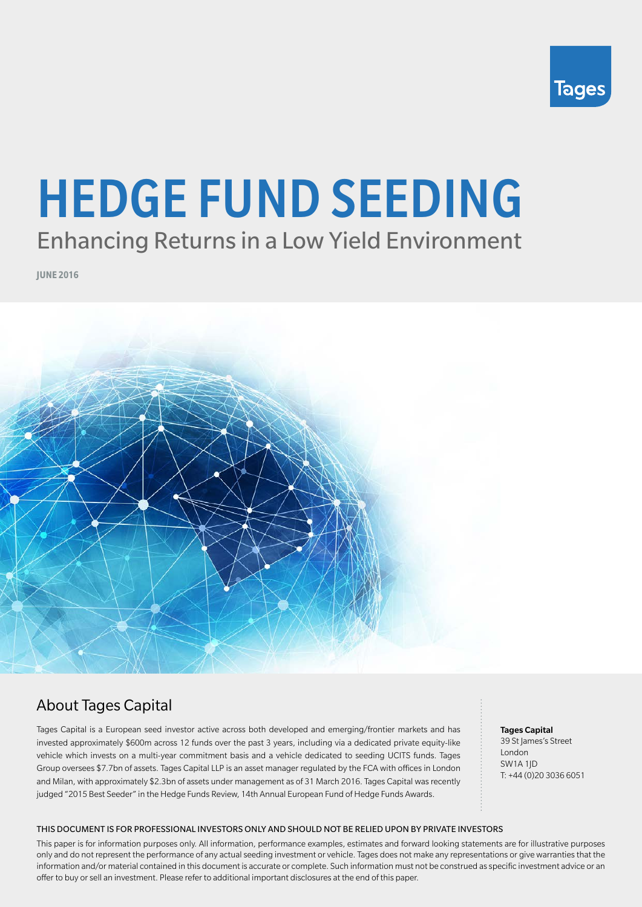

# HEDGE FUND SEEDING

# Enhancing Returns in a Low Yield Environment

**JUNE 2016**



# About Tages Capital

Tages Capital is a European seed investor active across both developed and emerging/frontier markets and has invested approximately \$600m across 12 funds over the past 3 years, including via a dedicated private equity-like vehicle which invests on a multi-year commitment basis and a vehicle dedicated to seeding UCITS funds. Tages Group oversees \$7.7bn of assets. Tages Capital LLP is an asset manager regulated by the FCA with offices in London and Milan, with approximately \$2.3bn of assets under management as of 31 March 2016. Tages Capital was recently judged "2015 Best Seeder" in the Hedge Funds Review, 14th Annual European Fund of Hedge Funds Awards.

Tages Capital 39 St James's Street London SW1A 1JD T: +44 (0)20 3036 6051

#### THIS DOCUMENT IS FOR PROFESSIONAL INVESTORS ONLY AND SHOULD NOT BE RELIED UPON BY PRIVATE INVESTORS

This paper is for information purposes only. All information, performance examples, estimates and forward looking statements are for illustrative purposes offer to buy or sell an investment. Please refer to additional important disclosures at the end of this paper. only and do not represent the performance of any actual seeding investment or vehicle. Tages does not make any representations or give warranties that the information and/or material contained in this document is accurate or complete. Such information must not be construed as specific investment advice or an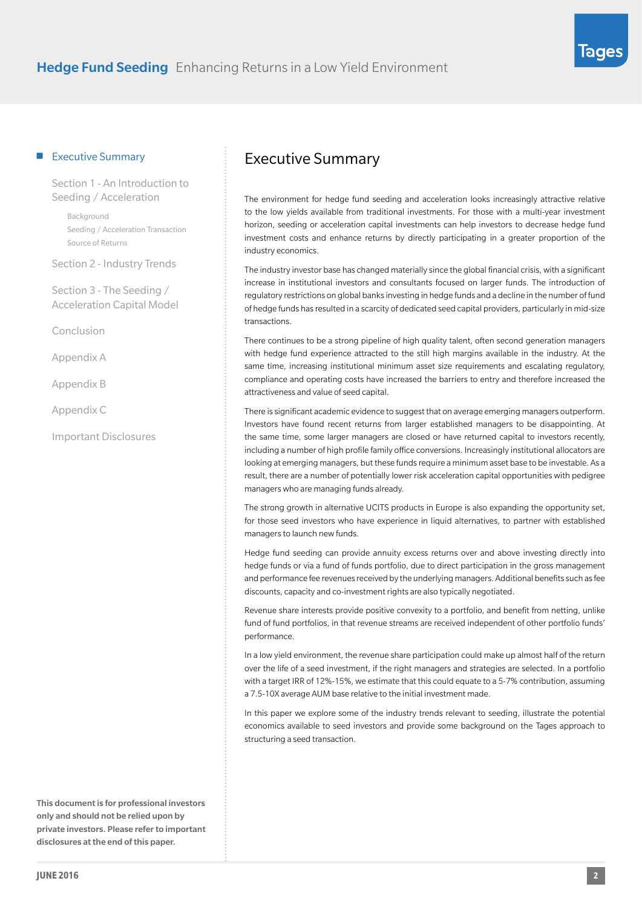

<span id="page-1-0"></span>[Section 1 - An Introduction to](#page-2-0)  [Seeding / Acceleration](#page-2-0)

[Background](#page-2-0) Seeding / Acceleration Transaction [Source of Returns](#page-3-0)

[Section 2 - Industry Trends](#page-8-0)

[Section 3 - The Seeding /](#page-15-0)  [Acceleration Capital Model](#page-15-0)

[Conclusion](#page-18-0)

[Appendix A](#page-19-0)

[Appendix B](#page-20-0)

[Appendix C](#page-21-0)

[Important Disclosures](#page-22-0)

This document is for professional investors only and should not be relied upon by private investors. Please refer to important disclosures at the end of this paper.

## Executive Summary

The environment for hedge fund seeding and acceleration looks increasingly attractive relative to the low yields available from traditional investments. For those with a multi-year investment horizon, seeding or acceleration capital investments can help investors to decrease hedge fund investment costs and enhance returns by directly participating in a greater proportion of the industry economics.

The industry investor base has changed materially since the global financial crisis, with a significant increase in institutional investors and consultants focused on larger funds. The introduction of regulatory restrictions on global banks investing in hedge funds and a decline in the number of fund of hedge funds has resulted in a scarcity of dedicated seed capital providers, particularly in mid-size transactions.

There continues to be a strong pipeline of high quality talent, often second generation managers with hedge fund experience attracted to the still high margins available in the industry. At the same time, increasing institutional minimum asset size requirements and escalating regulatory, compliance and operating costs have increased the barriers to entry and therefore increased the attractiveness and value of seed capital.

There is significant academic evidence to suggest that on average emerging managers outperform. Investors have found recent returns from larger established managers to be disappointing. At the same time, some larger managers are closed or have returned capital to investors recently, including a number of high profile family office conversions. Increasingly institutional allocators are looking at emerging managers, but these funds require a minimum asset base to be investable. As a result, there are a number of potentially lower risk acceleration capital opportunities with pedigree managers who are managing funds already.

The strong growth in alternative UCITS products in Europe is also expanding the opportunity set, for those seed investors who have experience in liquid alternatives, to partner with established managers to launch new funds.

Hedge fund seeding can provide annuity excess returns over and above investing directly into hedge funds or via a fund of funds portfolio, due to direct participation in the gross management and performance fee revenues received by the underlying managers. Additional benefits such as fee discounts, capacity and co-investment rights are also typically negotiated.

Revenue share interests provide positive convexity to a portfolio, and benefit from netting, unlike fund of fund portfolios, in that revenue streams are received independent of other portfolio funds' performance.

In a low yield environment, the revenue share participation could make up almost half of the return over the life of a seed investment, if the right managers and strategies are selected. In a portfolio with a target IRR of 12%-15%, we estimate that this could equate to a 5-7% contribution, assuming a 7.5-10X average AUM base relative to the initial investment made.

In this paper we explore some of the industry trends relevant to seeding, illustrate the potential economics available to seed investors and provide some background on the Tages approach to structuring a seed transaction.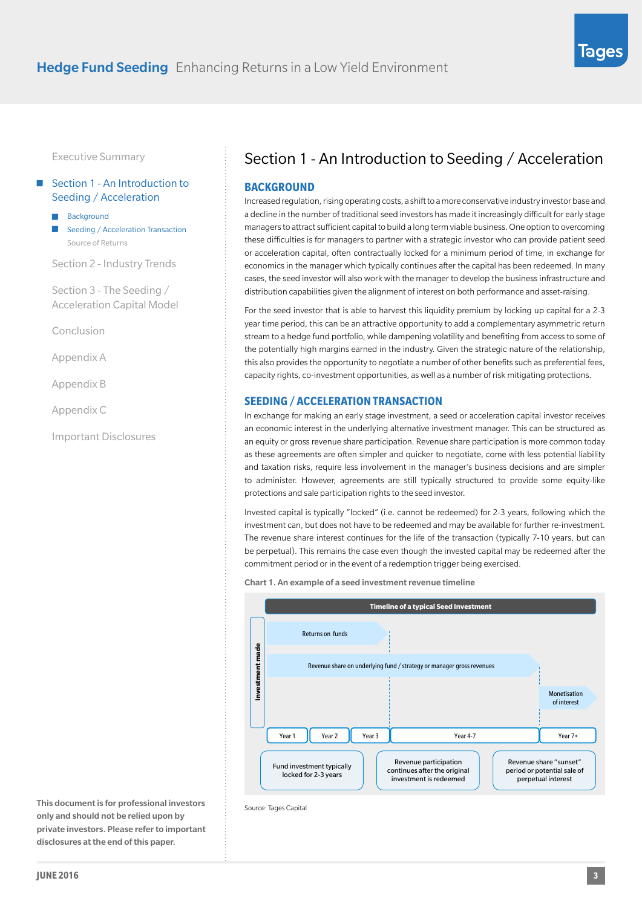#### <span id="page-2-0"></span>Section 1 - An Introduction to Seeding / Acceleration

**Background** Seeding / Acceleration Transaction [Source of Returns](#page-3-0)

[Section 2 - Industry Trends](#page-8-0)

[Section 3 - The Seeding /](#page-15-0)  [Acceleration Capital Model](#page-15-0)

[Conclusion](#page-18-0)

[Appendix A](#page-19-0)

[Appendix B](#page-20-0)

[Appendix C](#page-21-0)

[Important Disclosures](#page-22-0)

This document is for professional investors only and should not be relied upon by private investors. Please refer to important disclosures at the end of this paper.

# Section 1 - An Introduction to Seeding / Acceleration

#### **BACKGROUND**

Increased regulation, rising operating costs, a shift to a more conservative industry investor base and a decline in the number of traditional seed investors has made it increasingly difficult for early stage managers to attract sufficient capital to build a long term viable business. One option to overcoming these difficulties is for managers to partner with a strategic investor who can provide patient seed or acceleration capital, often contractually locked for a minimum period of time, in exchange for economics in the manager which typically continues after the capital has been redeemed. In many cases, the seed investor will also work with the manager to develop the business infrastructure and distribution capabilities given the alignment of interest on both performance and asset-raising.

For the seed investor that is able to harvest this liquidity premium by locking up capital for a 2-3 year time period, this can be an attractive opportunity to add a complementary asymmetric return stream to a hedge fund portfolio, while dampening volatility and benefiting from access to some of the potentially high margins earned in the industry. Given the strategic nature of the relationship, this also provides the opportunity to negotiate a number of other benefits such as preferential fees, capacity rights, co-investment opportunities, as well as a number of risk mitigating protections.

#### **SEEDING / ACCELERATION TRANSACTION**

In exchange for making an early stage investment, a seed or acceleration capital investor receives an economic interest in the underlying alternative investment manager. This can be structured as an equity or gross revenue share participation. Revenue share participation is more common today as these agreements are often simpler and quicker to negotiate, come with less potential liability and taxation risks, require less involvement in the manager's business decisions and are simpler to administer. However, agreements are still typically structured to provide some equity-like protections and sale participation rights to the seed investor.

Invested capital is typically "locked" (i.e. cannot be redeemed) for 2-3 years, following which the investment can, but does not have to be redeemed and may be available for further re-investment. The revenue share interest continues for the life of the transaction (typically 7-10 years, but can be perpetual). This remains the case even though the invested capital may be redeemed after the commitment period or in the event of a redemption trigger being exercised.

Chart 1. An example of a seed investment revenue timeline



Source: Tages Capital

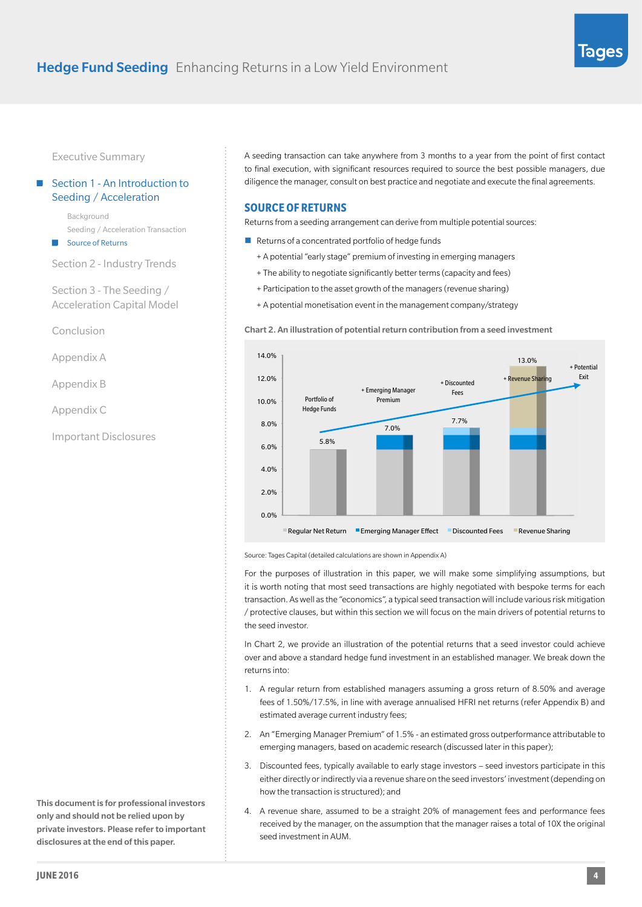#### <span id="page-3-0"></span>[Section 1 - An Introduction to](#page-2-0)  [Seeding / Acceleration](#page-2-0)

[Background](#page-2-0) Seeding / Acceleration Transaction Source of Returns

[Section 2 - Industry Trends](#page-8-0)

[Section 3 - The Seeding /](#page-15-0)  [Acceleration Capital Model](#page-15-0)

[Conclusion](#page-18-0)

[Appendix A](#page-19-0)

[Appendix B](#page-20-0)

[Appendix C](#page-21-0)

[Important Disclosures](#page-22-0)

A seeding transaction can take anywhere from 3 months to a year from the point of first contact to final execution, with significant resources required to source the best possible managers, due diligence the manager, consult on best practice and negotiate and execute the final agreements. n<br>Ie<br>Ir

#### **SOURCE OF RETURNS**

Returns from a seeding arrangement can derive from multiple potential sources:

- Returns of a concentrated portfolio of hedge funds
	- + A potential "early stage" premium of investing in emerging managers year 1 Year 3 Year 2 Year 400 Year 7 Year 7 Year 400 Year 7 Year 7 Year 7 Year 7 Year 7 Year 7 Year 7 Year 7 Year 7
	- + The ability to negotiate significantly better terms (capacity and fees)
	- + Participation to the asset growth of the managers (revenue sharing)
	- + A potential monetisation event in the management company/strategy e management comp

Chart 2. An illustration of potential return contribution from a seed investment



Source: Tages Capital (detailed calculations are shown in Appendix A)

For the purposes of illustration in this paper, we will make some simplifying assumptions, but it is worth noting that most seed transactions are highly negotiated with bespoke terms for each transaction. As well as the "economics", a typical seed transaction will include various risk mitigation / protective clauses, but within this section we will focus on the main drivers of potential returns to the seed investor.

In Chart 2, we provide an illustration of the potential returns that a seed investor could achieve over and above a standard hedge fund investment in an established manager. We break down the returns into:

- 1. A regular return from established managers assuming a gross return of 8.50% and average fees of 1.50%/17.5%, in line with average annualised HFRI net returns (refer Appendix B) and estimated average current industry fees;
- 2. An "Emerging Manager Premium" of 1.5% an estimated gross outperformance attributable to emerging managers, based on academic research (discussed later in this paper);
- 3. Discounted fees, typically available to early stage investors seed investors participate in this either directly or indirectly via a revenue share on the seed investors' investment (depending on how the transaction is structured); and
- 4. A revenue share, assumed to be a straight 20% of management fees and performance fees received by the manager, on the assumption that the manager raises a total of 10X the original seed investment in AUM.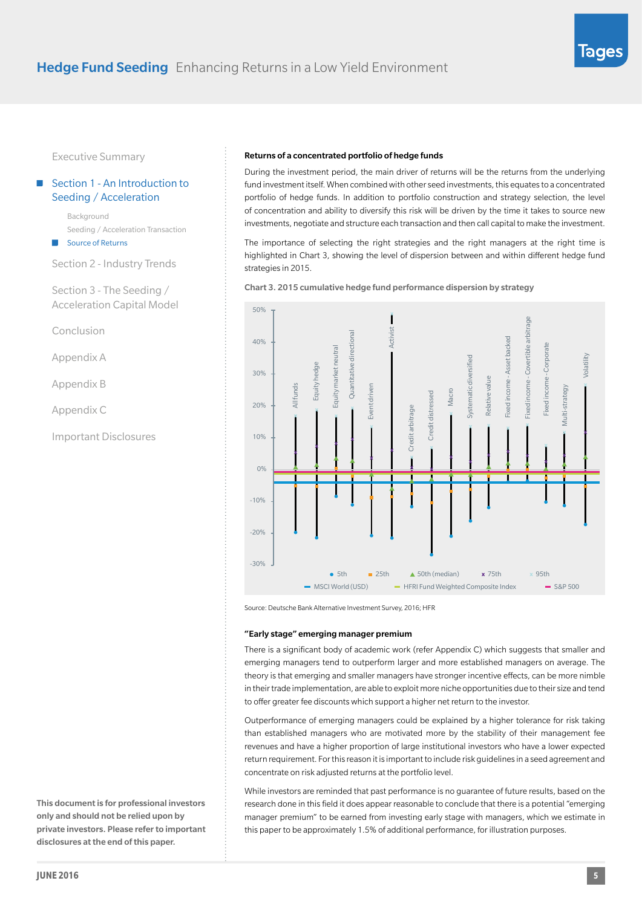#### [Section 1 - An Introduction to](#page-2-0)  [Seeding / Acceleration](#page-2-0)

[Background](#page-2-0) Seeding / Acceleration Transaction [Source of Returns](#page-3-0)

[Section 2 - Industry Trends](#page-8-0)

[Section 3 - The Seeding /](#page-15-0)  [Acceleration Capital Model](#page-15-0)

[Conclusion](#page-18-0)

[Appendix A](#page-19-0)

[Appendix B](#page-20-0)

[Appendix C](#page-21-0)

[Important Disclosures](#page-22-0)

# Returns of a concentrated portfolio of hedge funds

During the investment period, the main driver of returns will be the returns from the underlying fund investment itself. When combined with other seed investments, this equates to a concentrated portfolio of hedge funds. In addition to portfolio construction and strategy selection, the level of concentration and ability to diversify this risk will be driven by the time it takes to source new investments, negotiate and structure each transaction and then call capital to make the investment.

The importance of selecting the right strategies and the right managers at the right time is highlighted in Chart 3, showing the level of dispersion between and within different hedge fund strategies in 2015.





Source: Deutsche Bank Alternative Investment Survey, 2016; HFR

#### "Early stage" emerging manager premium

There is a significant body of academic work (refer Appendix C) which suggests that smaller and emerging managers tend to outperform larger and more established managers on average. The theory is that emerging and smaller managers have stronger incentive effects, can be more nimble in their trade implementation, are able to exploit more niche opportunities due to their size and tend to offer greater fee discounts which support a higher net return to the investor.

Outperformance of emerging managers could be explained by a higher tolerance for risk taking than established managers who are motivated more by the stability of their management fee revenues and have a higher proportion of large institutional investors who have a lower expected return requirement. For this reason it is important to include risk guidelines in a seed agreement and concentrate on risk adjusted returns at the portfolio level.

While investors are reminded that past performance is no guarantee of future results, based on the research done in this field it does appear reasonable to conclude that there is a potential "emerging manager premium" to be earned from investing early stage with managers, which we estimate in this paper to be approximately 1.5% of additional performance, for illustration purposes.

**5**

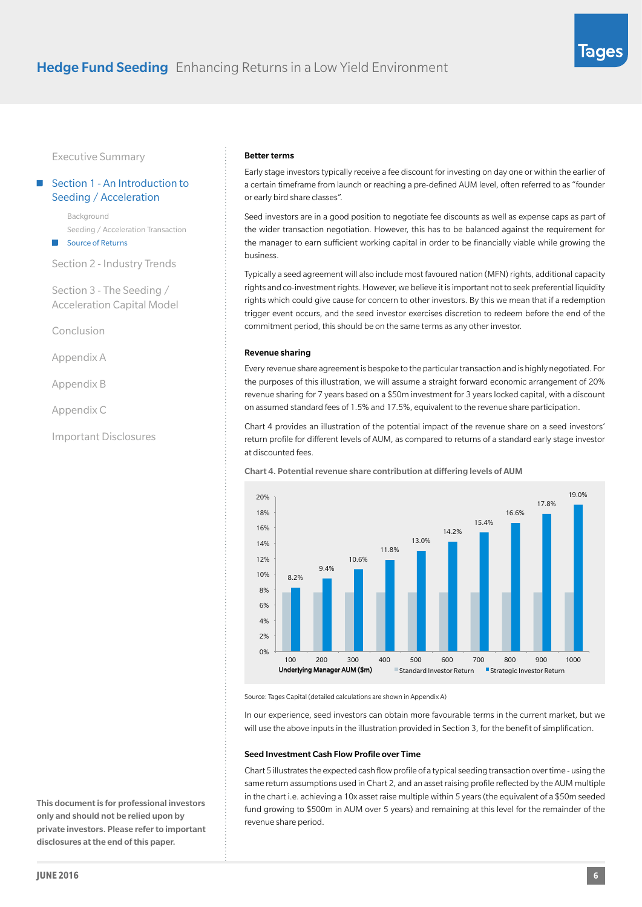lage

[Executive Summary](#page-1-0)

#### [Section 1 - An Introduction to](#page-2-0)  [Seeding / Acceleration](#page-2-0)

[Background](#page-2-0) Seeding / Acceleration Transaction [Source of Returns](#page-3-0)

[Section 2 - Industry Trends](#page-8-0)

[Section 3 - The Seeding /](#page-15-0)  [Acceleration Capital Model](#page-15-0)

[Conclusion](#page-18-0)

[Appendix A](#page-19-0)

[Appendix B](#page-20-0)

[Appendix C](#page-21-0)

[Important Disclosures](#page-22-0)

#### Better terms

Early stage investors typically receive a fee discount for investing on day one or within the earlier of a certain timeframe from launch or reaching a pre-defined AUM level, often referred to as "founder or early bird share classes".

Seed investors are in a good position to negotiate fee discounts as well as expense caps as part of the wider transaction negotiation. However, this has to be balanced against the requirement for the manager to earn sufficient working capital in order to be financially viable while growing the business.

Typically a seed agreement will also include most favoured nation (MFN) rights, additional capacity rights and co-investment rights. However, we believe it is important not to seek preferential liquidity rights which could give cause for concern to other investors. By this we mean that if a redemption trigger event occurs, and the seed investor exercises discretion to redeem before the end of the commitment period, this should be on the same terms as any other investor.

#### Revenue sharing

Every revenue share agreement is bespoke to the particular transaction and is highly negotiated. For the purposes of this illustration, we will assume a straight forward economic arrangement of 20% revenue sharing for 7 years based on a \$50m investment for 3 years locked capital, with a discount on assumed standard fees of 1.5% and 17.5%, equivalent to the revenue share participation.

Chart 4 provides an illustration of the potential impact of the revenue share on a seed investors' return profile for different levels of AUM, as compared to returns of a standard early stage investor at discounted fees.



Chart 4. Potential revenue share contribution at differing levels of AUM

Source: Tages Capital (detailed calculations are shown in Appendix A)

In our experience, seed investors can obtain more favourable terms in the current market, but we will use the above inputs in the illustration provided in Section 3, for the benefit of simplification.

#### Seed Investment Cash Flow Profile over Time

in the chart i.e. achieving a 10x asset raise multiple within 5 years (the equivalent of a \$50m seeded Chart 5 illustrates the expected cash flow profile of a typical seeding transaction over time - using the revenue share period. fund growing to \$500m in AUM over 5 years) and remaining at this level for the remainder of the same return assumptions used in Chart 2, and an asset raising profile reflected by the AUM multiple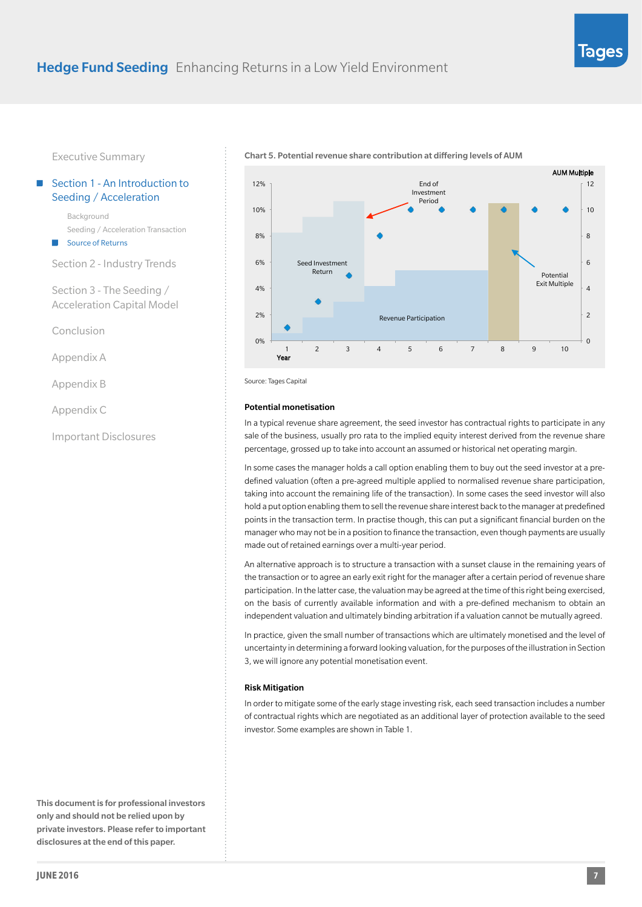#### [Section 1 - An Introduction to](#page-2-0)  [Seeding / Acceleration](#page-2-0)

[Background](#page-2-0) Seeding / Acceleration Transaction [Source of Returns](#page-3-0)

[Section 2 - Industry Trends](#page-8-0)

[Section 3 - The Seeding /](#page-15-0)  [Acceleration Capital Model](#page-15-0)

[Conclusion](#page-18-0)

[Appendix A](#page-19-0)

[Appendix B](#page-20-0)

[Appendix C](#page-21-0)

[Important Disclosures](#page-22-0)

This document is for professional investors only and should not be relied upon by private investors. Please refer to important disclosures at the end of this paper.



Chart 5. Potential revenue share contribution at differing levels of AUM

Source: Tages Capital

#### Potential monetisation

sale of the business, usually pro rata to the implied equity interest derived from the revenue share In a typical revenue share agreement, the seed investor has contractual rights to participate in any percentage, grossed up to take into account an assumed or historical net operating margin.

manager who may not be in a position to finance the transaction, even though payments are usually points in the transaction term. In practise though, this can put a significant financial burden on the hold a put option enabling them to sell the revenue share interest back to the manager at predefined  $\mathcal{L}_{\rm{out}}$ na pi made out of retained earnings over a multi-year period. taking into account the remaining life of the transaction). In some cases the seed investor will also defined valuation (often a pre-agreed multiple applied to normalised revenue share participation, In some cases the manager holds a call option enabling them to buy out the seed investor at a pre-

An alternative approach is to structure a transaction with a sunset clause in the remaining years of the transaction or to agree an early exit right for the manager after a certain period of revenue share participation. In the latter case, the valuation may be agreed at the time of this right being exercised, on the basis of currently available information and with a pre-defined mechanism to obtain an independent valuation and ultimately binding arbitration if a valuation cannot be mutually agreed.

In practice, given the small number of transactions which are ultimately monetised and the level of uncertainty in determining a forward looking valuation, for the purposes of the illustration in Section 3, we will ignore any potential monetisation event.

#### Risk Mitigation

In order to mitigate some of the early stage investing risk, each seed transaction includes a number of contractual rights which are negotiated as an additional layer of protection available to the seed investor. Some examples are shown in Table 1.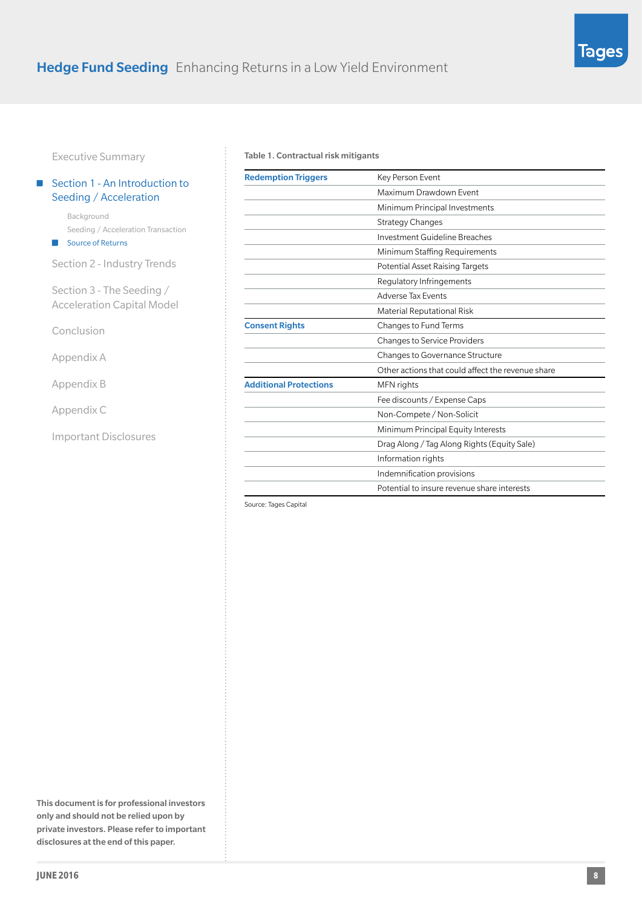#### [Section 1 - An Introduction to](#page-2-0)  **In** [Seeding / Acceleration](#page-2-0)

[Background](#page-2-0) Seeding / Acceleration Transaction [Source of Returns](#page-3-0)

[Section 2 - Industry Trends](#page-8-0)

[Section 3 - The Seeding /](#page-15-0)  [Acceleration Capital Model](#page-15-0)

[Conclusion](#page-18-0)

[Appendix A](#page-19-0)

[Appendix B](#page-20-0)

[Appendix C](#page-21-0)

[Important Disclosures](#page-22-0)

Table 1. Contractual risk mitigants

| <b>Redemption Triggers</b>    | Key Person Event                                  |  |  |  |
|-------------------------------|---------------------------------------------------|--|--|--|
|                               | Maximum Drawdown Event                            |  |  |  |
|                               | Minimum Principal Investments                     |  |  |  |
|                               | <b>Strategy Changes</b>                           |  |  |  |
|                               | Investment Guideline Breaches                     |  |  |  |
|                               | Minimum Staffing Requirements                     |  |  |  |
|                               | Potential Asset Raising Targets                   |  |  |  |
|                               | Regulatory Infringements                          |  |  |  |
|                               | <b>Adverse Tax Events</b>                         |  |  |  |
|                               | Material Reputational Risk                        |  |  |  |
| <b>Consent Rights</b>         | Changes to Fund Terms                             |  |  |  |
|                               | <b>Changes to Service Providers</b>               |  |  |  |
|                               | Changes to Governance Structure                   |  |  |  |
|                               | Other actions that could affect the revenue share |  |  |  |
| <b>Additional Protections</b> | MFN rights                                        |  |  |  |
|                               | Fee discounts / Expense Caps                      |  |  |  |
|                               | Non-Compete / Non-Solicit                         |  |  |  |
|                               | Minimum Principal Equity Interests                |  |  |  |
|                               | Drag Along / Tag Along Rights (Equity Sale)       |  |  |  |
|                               | Information rights                                |  |  |  |
|                               | Indemnification provisions                        |  |  |  |
|                               | Potential to insure revenue share interests       |  |  |  |
|                               |                                                   |  |  |  |

Source: Tages Capital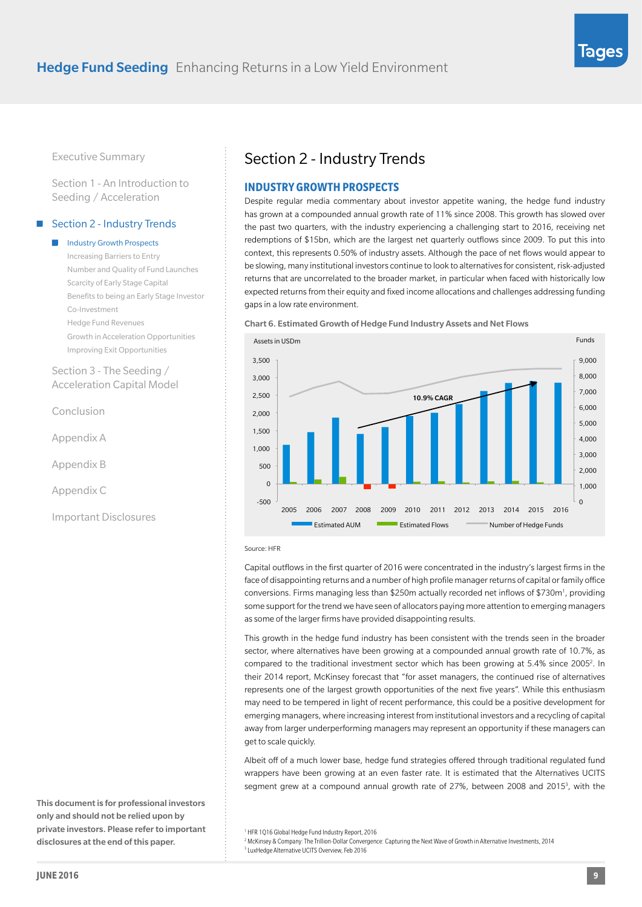<span id="page-8-0"></span>[Section 1 - An Introduction to](#page-2-0)  [Seeding / Acceleration](#page-2-0)

#### Section 2 - Industry Trends

**Industry Growth Prospects** 

[Increasing Barriers to Entry](#page-9-0) [Number and Quality of Fund Launches](#page-10-0) [Scarcity of Early Stage Capital](#page-11-0)  [Benefits to being an Early Stage Investor](#page-12-0) [Co-Investment](#page-13-0) [Hedge Fund Revenues](#page-13-0) [Growth in Acceleration Opportunities](#page-14-0) [Improving Exit Opportunities](#page-14-0)

[Section 3 - The Seeding /](#page-15-0)  [Acceleration Capital Model](#page-15-0)

[Conclusion](#page-18-0)

[Appendix A](#page-19-0)

[Appendix B](#page-20-0)

[Appendix C](#page-21-0)

[Important Disclosures](#page-22-0)

# Section 2 - Industry Trends

#### **INDUSTRY GROWTH PROSPECTS** 8%

Despite regular media commentary about investor appetite waning, the hedge fund industry has grown at a compounded annual growth rate of 11% since 2008. This growth has slowed over the past two quarters, with the industry experiencing a challenging start to 2016, receiving net redemptions of \$15bn, which are the largest net quarterly outflows since 2009. To put this into redemptions of \$15bn, which are the largest net quarterly outflows since 2009. To put this into context, this represents 0.50% of industry assets. Although the pace of net flows would appear to be slowing, many institutional investors continue to look to alternatives for consistent, risk-adjusted returns that are uncorrelated to the broader market, in particular when faced with historically low expected returns from their equity and fixed income allocations and challenges addressing funding also in a low rate environment.



#### Source: HFR

Capital outflows in the first quarter of 2016 were concentrated in the industry's largest firms in the face of disappointing returns and a number of high profile manager returns of capital or family office conversions. Firms managing less than \$250m actually recorded net inflows of \$730m<sup>1</sup>, providing some support for the trend we have seen of allocators paying more attention to emerging managers as some of the larger firms have provided disappointing results.

This growth in the hedge fund industry has been consistent with the trends seen in the broader sector, where alternatives have been growing at a compounded annual growth rate of 10.7%, as compared to the traditional investment sector which has been growing at 5.4% since 2005<sup>2</sup>. In their 2014 report, McKinsey forecast that "for asset managers, the continued rise of alternatives represents one of the largest growth opportunities of the next five years". While this enthusiasm may need to be tempered in light of recent performance, this could be a positive development for emerging managers, where increasing interest from institutional investors and a recycling of capital away from larger underperforming managers may represent an opportunity if these managers can get to scale quickly.

Albeit off of a much lower base, hedge fund strategies offered through traditional regulated fund wrappers have been growing at an even faster rate. It is estimated that the Alternatives UCITS segment grew at a compound annual growth rate of 27%, between 2008 and 2015<sup>3</sup>, with the

<sup>2</sup> McKinsey & Company: The Trillion-Dollar Convergence: Capturing the Next Wave of Growth in Alternative Investments, 2014 <sup>3</sup> LuxHedge Alternative UCITS Overview, Feb 2016

<sup>&</sup>lt;sup>1</sup> HFR 1Q16 Global Hedge Fund Industry Report, 2016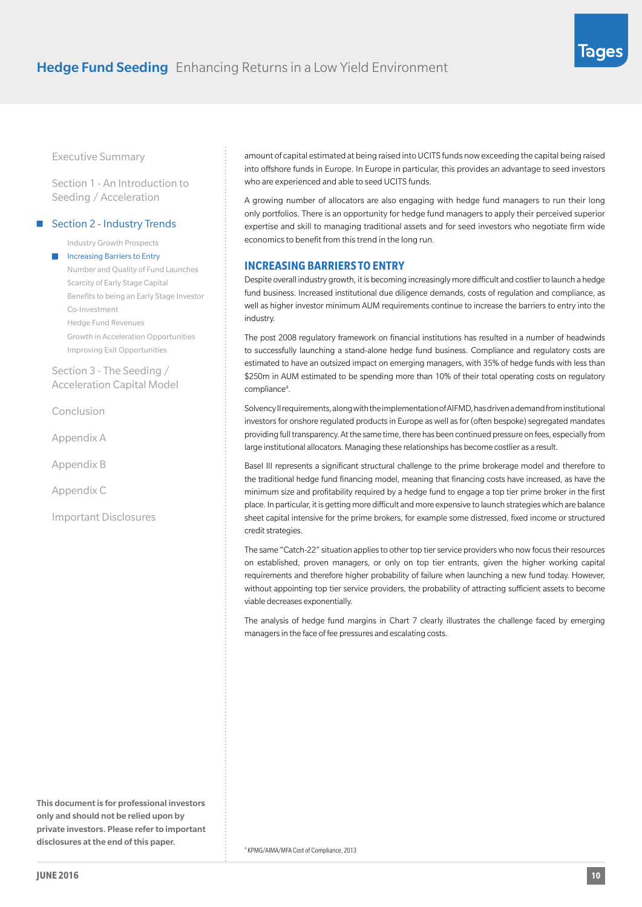<span id="page-9-0"></span>[Section 1 - An Introduction to](#page-2-0)  [Seeding / Acceleration](#page-2-0)

[Section 2 - Industry Trends](#page-8-0)

[Industry Growth Prospects](#page-8-0) **Increasing Barriers to Entry** [Number and Quality of Fund Launches](#page-10-0) [Scarcity of Early Stage Capital](#page-11-0) 

[Benefits to being an Early Stage Investor](#page-12-0) [Co-Investment](#page-13-0) [Hedge Fund Revenues](#page-13-0) [Growth in Acceleration Opportunities](#page-14-0) [Improving Exit Opportunities](#page-14-0)

[Section 3 - The Seeding /](#page-15-0)  [Acceleration Capital Model](#page-15-0)

[Conclusion](#page-18-0)

[Appendix A](#page-19-0)

[Appendix B](#page-20-0)

[Appendix C](#page-21-0)

[Important Disclosures](#page-22-0)

This document is for professional investors only and should not be relied upon by private investors. Please refer to important disclosures at the end of this paper.

amount of capital estimated at being raised into UCITS funds now exceeding the capital being raised into offshore funds in Europe. In Europe in particular, this provides an advantage to seed investors who are experienced and able to seed UCITS funds.

A growing number of allocators are also engaging with hedge fund managers to run their long only portfolios. There is an opportunity for hedge fund managers to apply their perceived superior expertise and skill to managing traditional assets and for seed investors who negotiate firm wide economics to benefit from this trend in the long run.

#### **INCREASING BARRIERS TO ENTRY**

Despite overall industry growth, it is becoming increasingly more difficult and costlier to launch a hedge fund business. Increased institutional due diligence demands, costs of regulation and compliance, as well as higher investor minimum AUM requirements continue to increase the barriers to entry into the industry.

The post 2008 regulatory framework on financial institutions has resulted in a number of headwinds to successfully launching a stand-alone hedge fund business. Compliance and regulatory costs are estimated to have an outsized impact on emerging managers, with 35% of hedge funds with less than \$250m in AUM estimated to be spending more than 10% of their total operating costs on regulatory compliance<sup>4</sup>.

Solvency II requirements, along with the implementation of AIFMD, has driven a demand from institutional investors for onshore regulated products in Europe as well as for (often bespoke) segregated mandates providing full transparency. At the same time, there has been continued pressure on fees, especially from large institutional allocators. Managing these relationships has become costlier as a result.

Basel III represents a significant structural challenge to the prime brokerage model and therefore to the traditional hedge fund financing model, meaning that financing costs have increased, as have the minimum size and profitability required by a hedge fund to engage a top tier prime broker in the first place. In particular, it is getting more difficult and more expensive to launch strategies which are balance sheet capital intensive for the prime brokers, for example some distressed, fixed income or structured credit strategies.

The same "Catch-22" situation applies to other top tier service providers who now focus their resources on established, proven managers, or only on top tier entrants, given the higher working capital requirements and therefore higher probability of failure when launching a new fund today. However, without appointing top tier service providers, the probability of attracting sufficient assets to become viable decreases exponentially.

The analysis of hedge fund margins in Chart 7 clearly illustrates the challenge faced by emerging managers in the face of fee pressures and escalating costs.

4 KPMG/AIMA/MFA Cost of Compliance, 2013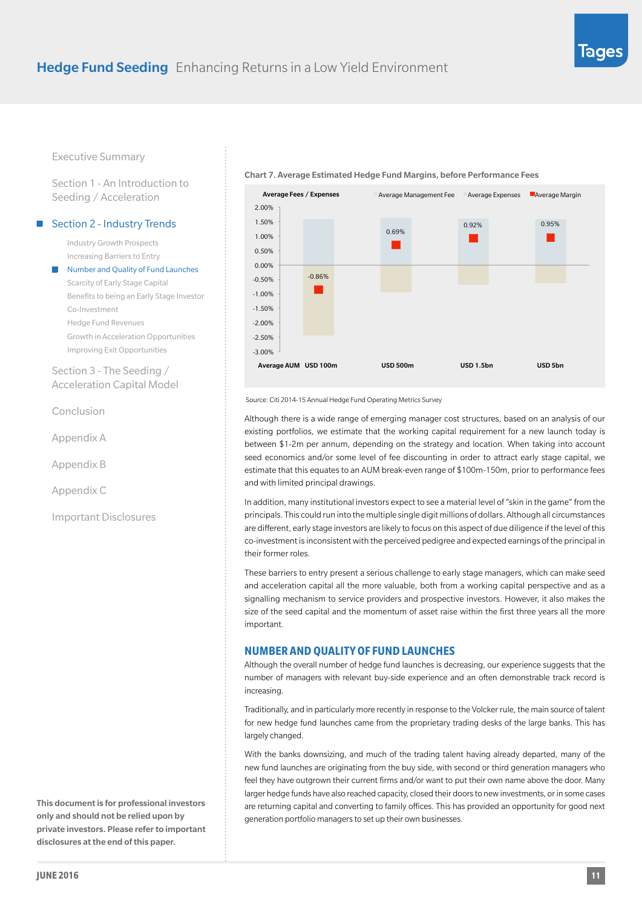### <span id="page-10-0"></span>**Hedge Fund Seeding** Enhancing Returns in a Low Yield Environment

[Executive Summary](#page-1-0)

[Section 1 - An Introduction to](#page-2-0)  [Seeding / Acceleration](#page-2-0)

[Section 2 - Industry Trends](#page-8-0)

[Industry Growth Prospects](#page-8-0) [Increasing Barriers to Entry](#page-9-0)

Number and Quality of Fund Launches [Scarcity of Early Stage Capital](#page-11-0)  [Benefits to being an Early Stage Investor](#page-12-0) [Co-Investment](#page-13-0) [Hedge Fund Revenues](#page-13-0) [Growth in Acceleration Opportunities](#page-14-0) [Improving Exit Opportunities](#page-14-0)

[Section 3 - The Seeding /](#page-15-0)  [Acceleration Capital Model](#page-15-0)

[Conclusion](#page-18-0)

[Appendix A](#page-19-0)

[Appendix B](#page-20-0)

[Appendix C](#page-21-0)

[Important Disclosures](#page-22-0)

This document is for professional investors only and should not be relied upon by private investors. Please refer to important disclosures at the end of this paper.

#### Chart 7. Average Estimated Hedge Fund Margins, before Performance Fees





and with limited principal drawings. estimate that this equates to an AUM break-even range of \$100m-150m, prior to performance fees seed economics and/or some level of fee discounting in order to attract early stage capital, we existing portfolios, we estimate that the working capital requirement for a new launch today is Although there is a wide range of emerging manager cost structures, based on an analysis of our between \$1-2m per annum, depending on the strategy and location. When taking into account

their former roles. co-investment is inconsistent with the perceived pedigree and expected earnings of the principal in principals. This coald rathing the mantple single digreminons or dollars. Although an electristances<br>are different, early stage investors are likely to focus on this aspect of due diligence if the level of this In addition, many institutional investors expect to see a material level of "skin in the game" from the principals. This could run into the multiple single digit millions of dollars. Although all circumstances

and acceleration capital all the more valuable, both from a working capital perspective and as a important. size of the seed capital and the momentum of asset raise within the first three years all the more These barriers to entry present a serious challenge to early stage managers, which can make seed signalling mechanism to service providers and prospective investors. However, it also makes the

#### **NUMBER AND QUALITY OF FUND LAUNCHES**

Although the overall number of hedge fund launches is decreasing, our experience suggests that the Address, the creation annual of managers with relevant buy-side experience and an often demonstrable track record is increasing.

mcreasing.<br>Traditionally, and in particularly more recently in response to the Volcker rule, the main source of talent for new hedge fund launches came from the proprietary trading desks of the large banks. This has largely changed.

larger hedge funds have also reached capacity, closed their doors to new investments, or in some cases With the banks downsizing, and much of the trading talent having already departed, many of the new fund launches are originating from the buy side, with second or third generation managers who feel they have outgrown their current firms and/or want to put their own name above the door. Many are returning capital and converting to family offices. This has provided an opportunity for good next generation portfolio managers to set up their own businesses.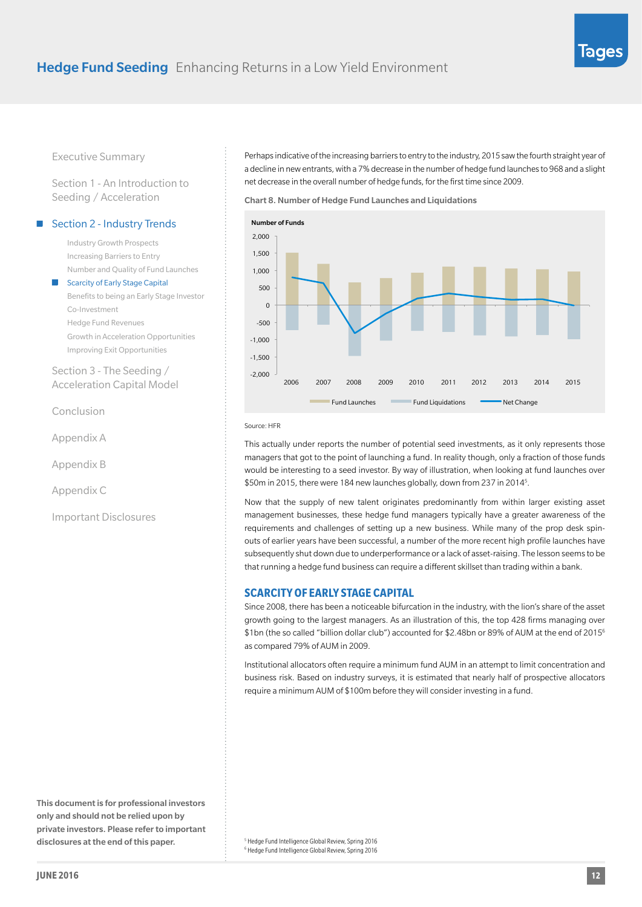<span id="page-11-0"></span>[Section 1 - An Introduction to](#page-2-0)  [Seeding / Acceleration](#page-2-0)

#### [Section 2 - Industry Trends](#page-8-0)

[Industry Growth Prospects](#page-8-0) [Increasing Barriers to Entry](#page-9-0) [Number and Quality of Fund Launches](#page-10-0)

Scarcity of Early Stage Capital

[Benefits to being an Early Stage Investor](#page-12-0) [Co-Investment](#page-13-0) [Hedge Fund Revenues](#page-13-0) [Growth in Acceleration Opportunities](#page-14-0) [Improving Exit Opportunities](#page-14-0)

[Section 3 - The Seeding /](#page-15-0)  [Acceleration Capital Model](#page-15-0)

[Conclusion](#page-18-0)

[Appendix A](#page-19-0)

[Appendix B](#page-20-0)

[Appendix C](#page-21-0)

[Important Disclosures](#page-22-0)

This document is for professional investors only and should not be relied upon by private investors. Please refer to important disclosures at the end of this paper.

Perhaps indicative of the increasing barriers to entry to the industry, 2015 saw the fourth straight year of a decline in new entrants, with a 7% decrease in the number of hedge fund launches to 968 and a slight  $\,$ net decrease in the overall number of hedge funds, for the first time since 2009.

Average Management Fee Average Expenses Average Margin

Chart 8. Number of Hedge Fund Launches and Liquidations



Source: HFR

 $$50m$  in 2015, there were 184 new launches globally, down from 237 in 2014<sup>5</sup>. managers that got to the point of launching a fund. In reality though, only a fraction of those funds would be interesting to a seed investor. By way of illustration, when looking at fund launches over actually under reports the number of potential seed investments, as it only represents th This actually under reports the number of potential seed investments, as it only represents those

iagement businesses, these hedge fund managers typically have a greater awareness of<br>iirements and challenges of setting up a new business. While many of the prop desk s Now that the supply of new talent originates predominantly from within larger existing asset subsequently shut down due to underperformance or a lack of asset-raising. The lesson seems to be outs of earlier years have been successful, a number of the more recent high profile launches have Above that the expert of non-talent enginated predeminantly henrifically in the larger existing deed.<br>The management businesses, these hedge fund managers typically have a greater awareness of the management basinesses, these heage rand managers typically have a greater andreness or the<br>requirements and challenges of setting up a new business. While many of the prop desk spinthat running a hedge fund business can require a different skillset than trading within a bank.

#### **SCARCITY OF EARLY STAGE CAPITAL**

growth going to the largest managers. As an illustration of this, the top 428 firms managing over Since 2008, there has been a noticeable bifurcation in the industry, with the lion's share of the asset \$1bn (the so called "billion dollar club") accounted for \$2.48bn or 89% of AUM at the end of 2015<sup>6</sup> as compared 79% of AUM in 2009.

Institutional allocators often require a minimum fund AUM in an attempt to limit concentration and business risk. Based on industry surveys, it is estimated that nearly half of prospective allocators require a minimum AUM of \$100m before they will consider investing in a fund.

5 Hedge Fund Intelligence Global Review, Spring 2016 6 Hedge Fund Intelligence Global Review, Spring 2016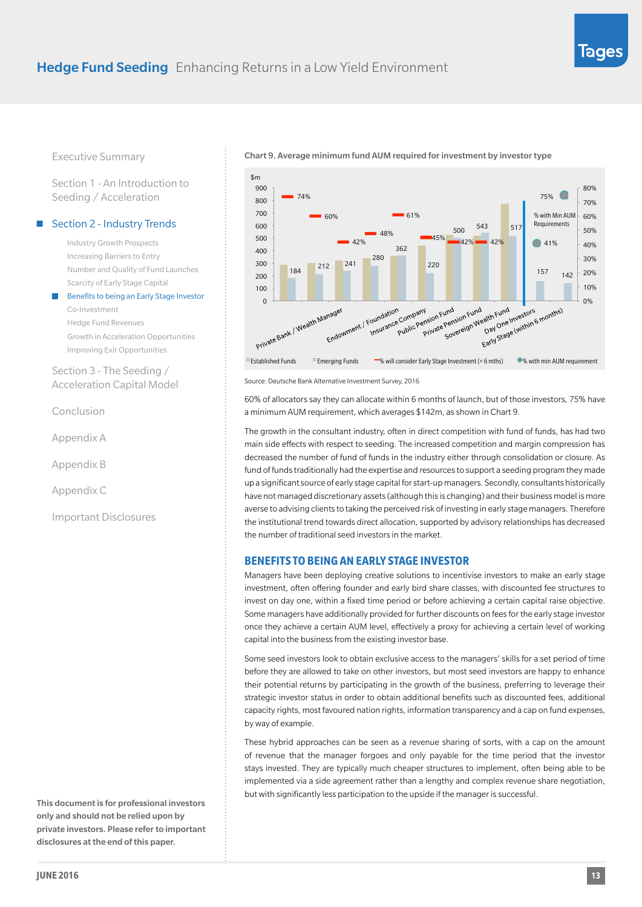<span id="page-12-0"></span>[Section 1 - An Introduction to](#page-2-0)  [Seeding / Acceleration](#page-2-0)

#### [Section 2 - Industry Trends](#page-8-0)

[Industry Growth Prospects](#page-8-0) [Increasing Barriers to Entry](#page-9-0) [Number and Quality of Fund Launches](#page-10-0) [Scarcity of Early Stage Capital](#page-11-0) 

Benefits to being an Early Stage Investor [Co-Investment](#page-13-0) [Hedge Fund Revenues](#page-13-0) [Growth in Acceleration Opportunities](#page-14-0) [Improving Exit Opportunities](#page-14-0)

[Section 3 - The Seeding /](#page-15-0)  [Acceleration Capital Model](#page-15-0)

[Conclusion](#page-18-0)

[Appendix A](#page-19-0)

[Appendix B](#page-20-0)

[Appendix C](#page-21-0)

[Important Disclosures](#page-22-0)

This document is for professional investors only and should not be relied upon by private investors. Please refer to important disclosures at the end of this paper.



Chart 9. Average minimum fund AUM required for investment by investor type

Source: Deutsche Bank Alternative Investment Survey, 2016

60% of allocators say they can allocate within 6 months of launch, but of those investors, 75% have a minimum AUM requirement, which averages \$142m, as shown in Chart 9.

The growth in the consultant industry, often in direct competition with fund of funds, has had two main side effects with respect to seeding. The increased competition and margin compression has decreased the number of fund of funds in the industry either through consolidation or closure. As fund of funds traditionally had the expertise and resources to support a seeding program they made up a significant source of early stage capital for start-up managers. Secondly, consultants historically have not managed discretionary assets (although this is changing) and their business model is more averse to advising clients to taking the perceived risk of investing in early stage managers. Therefore the institutional trend towards direct allocation, supported by advisory relationships has decreased the number of traditional seed investors in the market.

#### **BENEFITS TO BEING AN EARLY STAGE INVESTOR**

Managers have been deploying creative solutions to incentivise investors to make an early stage investment, often offering founder and early bird share classes, with discounted fee structures to invest on day one, within a fixed time period or before achieving a certain capital raise objective. Some managers have additionally provided for further discounts on fees for the early stage investor once they achieve a certain AUM level, effectively a proxy for achieving a certain level of working capital into the business from the existing investor base.

Some seed investors look to obtain exclusive access to the managers' skills for a set period of time before they are allowed to take on other investors, but most seed investors are happy to enhance their potential returns by participating in the growth of the business, preferring to leverage their strategic investor status in order to obtain additional benefits such as discounted fees, additional capacity rights, most favoured nation rights, information transparency and a cap on fund expenses, by way of example.

These hybrid approaches can be seen as a revenue sharing of sorts, with a cap on the amount of revenue that the manager forgoes and only payable for the time period that the investor stays invested. They are typically much cheaper structures to implement, often being able to be implemented via a side agreement rather than a lengthy and complex revenue share negotiation, but with significantly less participation to the upside if the manager is successful.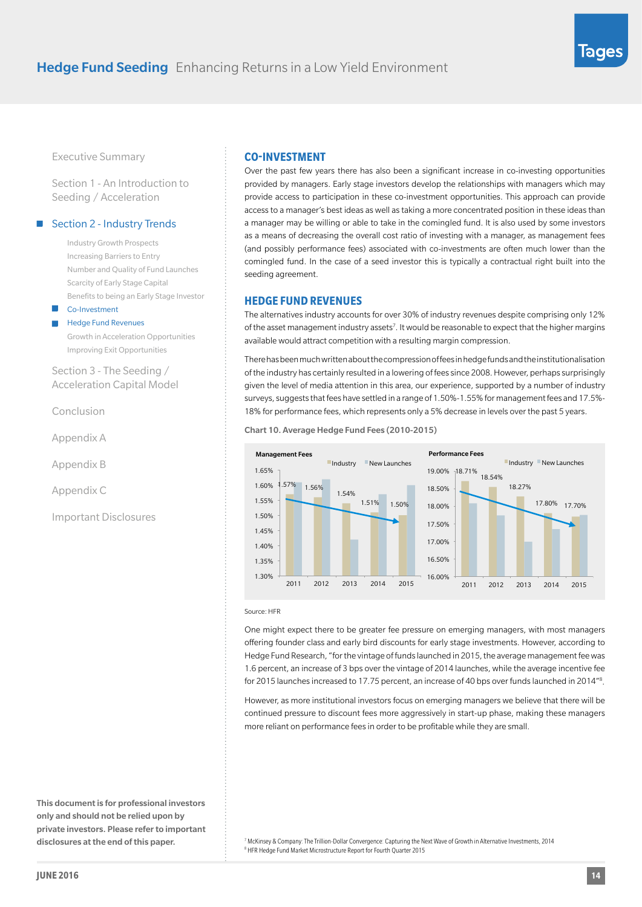This document is for professional investors only and should not be relied upon by private investors. Please refer to important disclosures at the end of this paper.

<span id="page-13-0"></span>[Executive Summary](#page-1-0)

[Section 1 - An Introduction to](#page-2-0)  [Seeding / Acceleration](#page-2-0)

#### [Section 2 - Industry Trends](#page-8-0)

[Industry Growth Prospects](#page-8-0) [Increasing Barriers to Entry](#page-9-0) [Number and Quality of Fund Launches](#page-10-0) [Scarcity of Early Stage Capital](#page-11-0)  [Benefits to being an Early Stage Investor](#page-12-0)

#### Co-Investment

#### Hedge Fund Revenues

[Growth in Acceleration Opportunities](#page-14-0) [Improving Exit Opportunities](#page-14-0)

[Section 3 - The Seeding /](#page-15-0)  [Acceleration Capital Model](#page-15-0)

[Conclusion](#page-18-0)

[Appendix A](#page-19-0)

[Appendix B](#page-20-0)

[Appendix C](#page-21-0)

[Important Disclosures](#page-22-0)

#### **CO-INVESTMENT**

Over the past few years there has also been a significant increase in co-investing opportunities provided by managers. Early stage investors develop the relationships with managers which may provide access to participation in these co-investment opportunities. This approach can provide access to a manager's best ideas as well as taking a more concentrated position in these ideas than a manager may be willing or able to take in the comingled fund. It is also used by some investors as a means of decreasing the overall cost ratio of investing with a manager, as management fees (and possibly performance fees) associated with co-investments are often much lower than the comingled fund. In the case of a seed investor this is typically a contractual right built into the seeding agreement.

#### **HEDGE FUND REVENUES**

The alternatives industry accounts for over 30% of industry revenues despite comprising only 12% of the asset management industry assets<sup>7</sup>. It would be reasonable to expect that the higher margins available would attract competition with a resulting margin compression.

There has been much written about the compression of fees in hedge funds and the institutionalisation of the industry has certainly resulted in a lowering of fees since 2008. However, perhaps surprisingly given the level of media attention in this area, our experience, supported by a number of industry surveys, suggests that fees have settled in a range of 1.50%-1.55% for management fees and 17.5%- 18% for performance fees, which represents only a 5% decrease in levels over the past 5 years.

Chart 10. Average Hedge Fund Fees (2010-2015)



#### Source: HFR

for 2015 launches increased to 17.75 percent, an increase of 40 bps over funds launched in 2014 $^{\prime\prime}$ 8. 1.6 percent, an increase of 3 bps over the vintage of 2014 launches, while the average incentive fee One might expect there to be greater fee pressure on emerging managers, with most managers offering founder class and early bird discounts for early stage investments. However, according to Hedge Fund Research, "for the vintage of funds launched in 2015, the average management fee was

more reliant on performance fees in order to be profitable while they are small. continued pressure to discount fees more aggressively in start-up phase, making these managers However, as more institutional investors focus on emerging managers we believe that there will be

MICKinsey & Company: The Trillion-Dollar Convergence: Capturing the Next Wave of Growth in Alternative Investments, 2014 8 HFR Hedge Fund Market Microstructure Report for Fourth Quarter 2015

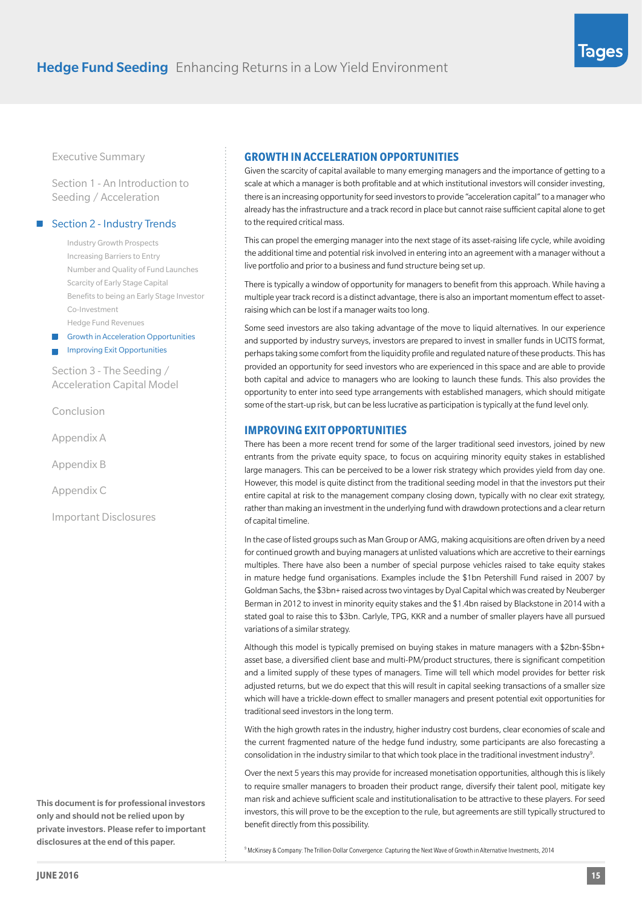<span id="page-14-0"></span>[Section 1 - An Introduction to](#page-2-0)  [Seeding / Acceleration](#page-2-0)

#### ■ [Section 2 - Industry Trends](#page-8-0)

[Industry Growth Prospects](#page-8-0) [Increasing Barriers to Entry](#page-9-0) [Number and Quality of Fund Launches](#page-10-0) [Scarcity of Early Stage Capital](#page-11-0)  [Benefits to being an Early Stage Investor](#page-12-0) [Co-Investment](#page-13-0) [Hedge Fund Revenues](#page-13-0)

Growth in Acceleration Opportunities

Improving Exit Opportunities

[Section 3 - The Seeding /](#page-15-0)  [Acceleration Capital Model](#page-15-0)

[Conclusion](#page-18-0)

[Appendix A](#page-19-0)

[Appendix B](#page-20-0)

[Appendix C](#page-21-0)

[Important Disclosures](#page-22-0)

This document is for professional investors only and should not be relied upon by private investors. Please refer to important disclosures at the end of this paper.

#### **GROWTH IN ACCELERATION OPPORTUNITIES**

Given the scarcity of capital available to many emerging managers and the importance of getting to a scale at which a manager is both profitable and at which institutional investors will consider investing, there is an increasing opportunity for seed investors to provide "acceleration capital" to a manager who already has the infrastructure and a track record in place but cannot raise sufficient capital alone to get to the required critical mass.

This can propel the emerging manager into the next stage of its asset-raising life cycle, while avoiding the additional time and potential risk involved in entering into an agreement with a manager without a live portfolio and prior to a business and fund structure being set up.

There is typically a window of opportunity for managers to benefit from this approach. While having a multiple year track record is a distinct advantage, there is also an important momentum effect to assetraising which can be lost if a manager waits too long.

Some seed investors are also taking advantage of the move to liquid alternatives. In our experience and supported by industry surveys, investors are prepared to invest in smaller funds in UCITS format, perhaps taking some comfort from the liquidity profile and regulated nature of these products. This has provided an opportunity for seed investors who are experienced in this space and are able to provide both capital and advice to managers who are looking to launch these funds. This also provides the opportunity to enter into seed type arrangements with established managers, which should mitigate some of the start-up risk, but can be less lucrative as participation is typically at the fund level only.

#### **IMPROVING EXIT OPPORTUNITIES**

There has been a more recent trend for some of the larger traditional seed investors, joined by new entrants from the private equity space, to focus on acquiring minority equity stakes in established large managers. This can be perceived to be a lower risk strategy which provides yield from day one. However, this model is quite distinct from the traditional seeding model in that the investors put their entire capital at risk to the management company closing down, typically with no clear exit strategy, rather than making an investment in the underlying fund with drawdown protections and a clear return of capital timeline.

In the case of listed groups such as Man Group or AMG, making acquisitions are often driven by a need for continued growth and buying managers at unlisted valuations which are accretive to their earnings multiples. There have also been a number of special purpose vehicles raised to take equity stakes in mature hedge fund organisations. Examples include the \$1bn Petershill Fund raised in 2007 by Goldman Sachs, the \$3bn+ raised across two vintages by Dyal Capital which was created by Neuberger Berman in 2012 to invest in minority equity stakes and the \$1.4bn raised by Blackstone in 2014 with a stated goal to raise this to \$3bn. Carlyle, TPG, KKR and a number of smaller players have all pursued variations of a similar strategy.

Although this model is typically premised on buying stakes in mature managers with a \$2bn-\$5bn+ asset base, a diversified client base and multi-PM/product structures, there is significant competition and a limited supply of these types of managers. Time will tell which model provides for better risk adjusted returns, but we do expect that this will result in capital seeking transactions of a smaller size which will have a trickle-down effect to smaller managers and present potential exit opportunities for traditional seed investors in the long term.

With the high growth rates in the industry, higher industry cost burdens, clear economies of scale and the current fragmented nature of the hedge fund industry, some participants are also forecasting a consolidation in the industry similar to that which took place in the traditional investment industry<sup>9</sup>.

Over the next 5 years this may provide for increased monetisation opportunities, although this is likely to require smaller managers to broaden their product range, diversify their talent pool, mitigate key man risk and achieve sufficient scale and institutionalisation to be attractive to these players. For seed investors, this will prove to be the exception to the rule, but agreements are still typically structured to benefit directly from this possibility.

<sup>9</sup> McKinsey & Company: The Trillion-Dollar Convergence: Capturing the Next Wave of Growth in Alternative Investments, 2014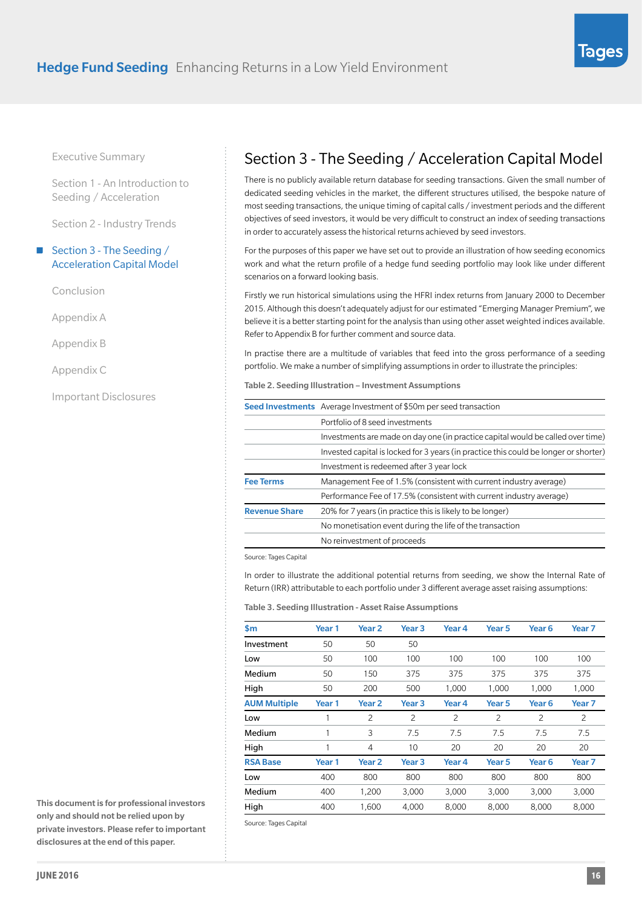<span id="page-15-0"></span>[Section 1 - An Introduction to](#page-2-0)  [Seeding / Acceleration](#page-2-0)

[Section 2 - Industry Trends](#page-8-0)

#### Section 3 - The Seeding /  $\Box$ Acceleration Capital Model

[Conclusion](#page-18-0)

[Appendix A](#page-19-0)

[Appendix B](#page-20-0)

[Appendix C](#page-21-0)

[Important Disclosures](#page-22-0)

This document is for professional investors only and should not be relied upon by private investors. Please refer to important disclosures at the end of this paper.

# Section 3 - The Seeding / Acceleration Capital Model

There is no publicly available return database for seeding transactions. Given the small number of dedicated seeding vehicles in the market, the different structures utilised, the bespoke nature of most seeding transactions, the unique timing of capital calls / investment periods and the different objectives of seed investors, it would be very difficult to construct an index of seeding transactions in order to accurately assess the historical returns achieved by seed investors.

For the purposes of this paper we have set out to provide an illustration of how seeding economics work and what the return profile of a hedge fund seeding portfolio may look like under different scenarios on a forward looking basis.

Firstly we run historical simulations using the HFRI index returns from January 2000 to December 2015. Although this doesn't adequately adjust for our estimated "Emerging Manager Premium", we believe it is a better starting point for the analysis than using other asset weighted indices available. Refer to Appendix B for further comment and source data.

In practise there are a multitude of variables that feed into the gross performance of a seeding portfolio. We make a number of simplifying assumptions in order to illustrate the principles:

Table 2. Seeding Illustration – Investment Assumptions

|                      | Seed Investments Average Investment of \$50m per seed transaction                    |  |  |  |  |
|----------------------|--------------------------------------------------------------------------------------|--|--|--|--|
|                      | Portfolio of 8 seed investments                                                      |  |  |  |  |
|                      | Investments are made on day one (in practice capital would be called over time)      |  |  |  |  |
|                      | Invested capital is locked for 3 years (in practice this could be longer or shorter) |  |  |  |  |
|                      | Investment is redeemed after 3 year lock                                             |  |  |  |  |
| <b>Fee Terms</b>     | Management Fee of 1.5% (consistent with current industry average)                    |  |  |  |  |
|                      |                                                                                      |  |  |  |  |
|                      | Performance Fee of 17.5% (consistent with current industry average)                  |  |  |  |  |
| <b>Revenue Share</b> | 20% for 7 years (in practice this is likely to be longer)                            |  |  |  |  |
|                      | No monetisation event during the life of the transaction                             |  |  |  |  |
|                      | No reinvestment of proceeds                                                          |  |  |  |  |

Source: Tages Capital

In order to illustrate the additional potential returns from seeding, we show the Internal Rate of Return (IRR) attributable to each portfolio under 3 different average asset raising assumptions:

Table 3. Seeding Illustration - Asset Raise Assumptions

| \$m                 | Year 1            | Year <sub>2</sub> | Year <sub>3</sub> | Year 4         | Year 5         | Year <sub>6</sub> | Year <sub>7</sub> |
|---------------------|-------------------|-------------------|-------------------|----------------|----------------|-------------------|-------------------|
| Investment          | 50                | 50                | 50                |                |                |                   |                   |
| Low                 | 50                | 100               | 100               | 100            | 100            | 100               | 100               |
| Medium              | 50                | 150               | 375               | 375            | 375            | 375               | 375               |
| High                | 50                | 200               | 500               | 1.000          | 1.000          | 1.000             | 1.000             |
| <b>AUM Multiple</b> | Year <sub>1</sub> | Year <sub>2</sub> | Year <sub>3</sub> | Year 4         | Year 5         | Year <sub>6</sub> | Year <sub>7</sub> |
| Low                 |                   | $\overline{c}$    | $\overline{c}$    | $\overline{c}$ | $\overline{c}$ | $\overline{c}$    | $\overline{2}$    |
| Medium              |                   | 3                 | 7.5               | 7.5            | 7.5            | 7.5               | 7.5               |
| High                |                   | 4                 | 10                | 20             | 20             | 20                | 20                |
| <b>RSA Base</b>     | Year 1            | Year <sub>2</sub> | Year 3            | Year 4         | Year 5         | Year <sub>6</sub> | Year 7            |
| Low                 | 400               | 800               | 800               | 800            | 800            | 800               | 800               |
| Medium              | 400               | 1,200             | 3,000             | 3,000          | 3,000          | 3,000             | 3,000             |
| High                | 400               | 1,600             | 4,000             | 8,000          | 8,000          | 8,000             | 8,000             |

Source: Tages Capital

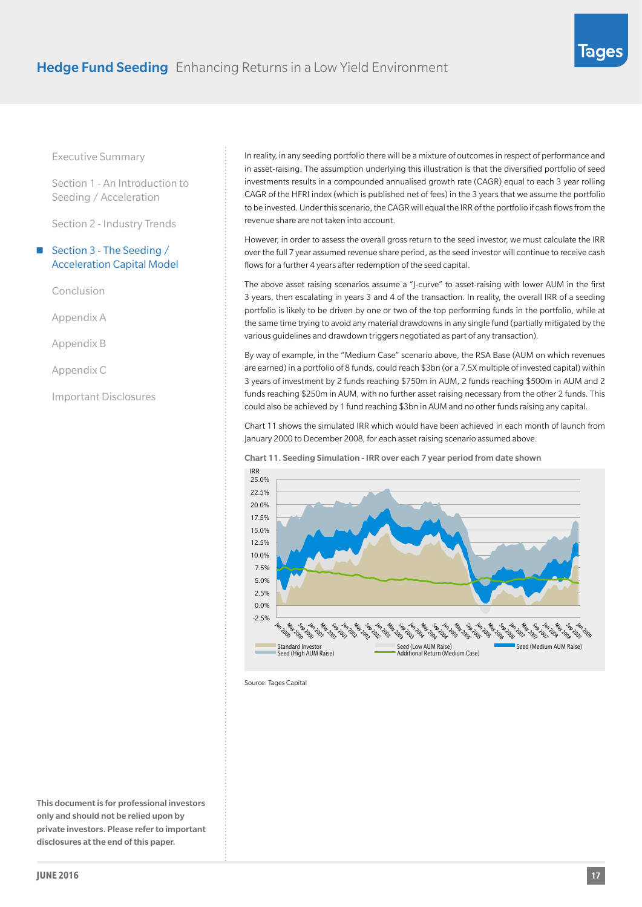[Section 1 - An Introduction to](#page-2-0)  [Seeding / Acceleration](#page-2-0)

[Section 2 - Industry Trends](#page-8-0)

#### [Section 3 - The Seeding /](#page-15-0)  [Acceleration Capital Model](#page-15-0)

[Conclusion](#page-18-0)

[Appendix A](#page-19-0)

[Appendix B](#page-20-0)

[Appendix C](#page-21-0)

[Important Disclosures](#page-22-0)

In reality, in any seeding portfolio there will be a mixture of outcomes in respect of performance and in asset-raising. The assumption underlying this illustration is that the diversified portfolio of seed investments results in a compounded annualised growth rate (CAGR) equal to each 3 year rolling CAGR of the HFRI index (which is published net of fees) in the 3 years that we assume the portfolio to be invested. Under this scenario, the CAGR will equal the IRR of the portfolio if cash flows from the revenue share are not taken into account.

However, in order to assess the overall gross return to the seed investor, we must calculate the IRR over the full 7 year assumed revenue share period, as the seed investor will continue to receive cash flows for a further 4 years after redemption of the seed capital. is after redemption of t Performance Fees

The above asset raising scenarios assume a "J-curve" to asset-raising with lower AUM in the first 1.60 above above raising boomance abound a figure to about raising them forem in the linet.<br>3 years, then escalating in years 3 and 4 of the transaction. In reality, the overall IRR of a seeding portfolio is likely to be driven by one or two of the top performing funds in the portfolio, while at the same time trying to avoid any material drawdowns in any single fund (partially mitigated by the various guidelines and drawdown triggers negotiated as part of any transaction).

By way of example, in the "Medium Case" scenario above, the RSA Base (AUM on which revenues are earned) in a portfolio of 8 funds, could reach \$3bn (or a 7.5X multiple of invested capital) within 3 years of investment by 2 funds reaching \$750m in AUM, 2 funds reaching \$500m in AUM and 2 funds reaching \$250m in AUM, with no further asset raising necessary from the other 2 funds. This could also be achieved by 1 fund reaching \$3bn in AUM and no other funds raising any capital.

Chart 11 shows the simulated IRR which would have been achieved in each month of launch from January 2000 to December 2008, for each asset raising scenario assumed above.



Chart 11. Seeding Simulation - IRR over each 7 year period from date shown

Source: Tages Capital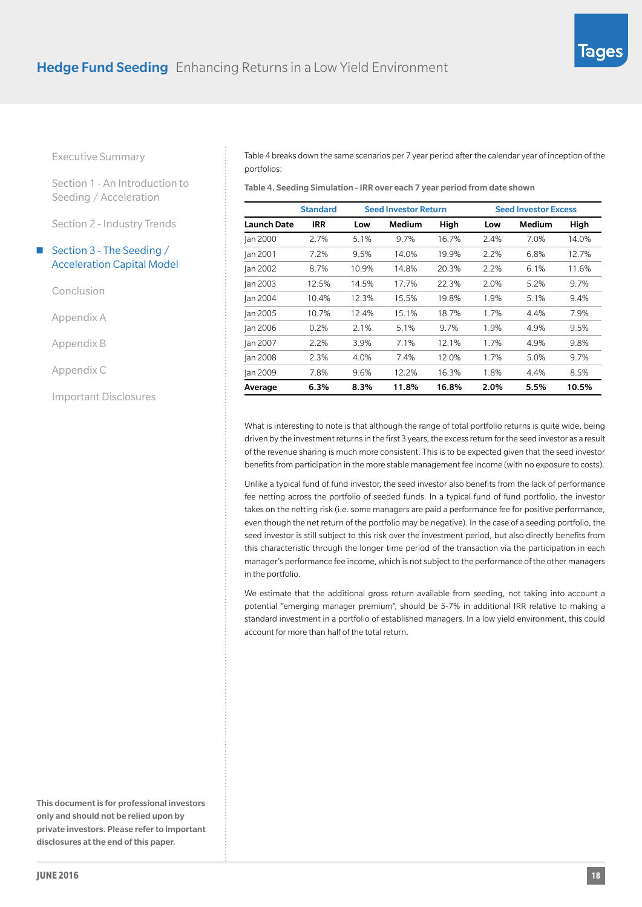[Section 1 - An Introduction to](#page-2-0)  [Seeding / Acceleration](#page-2-0)

[Section 2 - Industry Trends](#page-8-0)

#### [Section 3 - The Seeding /](#page-15-0)   $\Box$ [Acceleration Capital Model](#page-15-0)

[Conclusion](#page-18-0)

[Appendix A](#page-19-0)

[Appendix B](#page-20-0)

[Appendix C](#page-21-0)

[Important Disclosures](#page-22-0)

This document is for professional investors only and should not be relied upon by private investors. Please refer to important disclosures at the end of this paper.

Table 4 breaks down the same scenarios per 7 year period after the calendar year of inception of the portfolios:

Table 4. Seeding Simulation - IRR over each 7 year period from date shown

|                    | <b>Standard</b> | <b>Seed Investor Return</b> |        |       | <b>Seed Investor Excess</b> |        |         |
|--------------------|-----------------|-----------------------------|--------|-------|-----------------------------|--------|---------|
| <b>Launch Date</b> | <b>IRR</b>      | Low                         | Medium | High  | Low                         | Medium | High    |
| lan 2000           | 2.7%            | 5.1%                        | 9.7%   | 16.7% | 2.4%                        | 7.0%   | 14.0%   |
| Jan 2001           | 7.2%            | 9.5%                        | 14.0%  | 19.9% | 2.2%                        | 6.8%   | 12.7%   |
| Jan 2002           | 8.7%            | 10.9%                       | 14.8%  | 20.3% | 2.2%                        | 6.1%   | 11.6%   |
| Jan 2003           | 12.5%           | 14.5%                       | 17.7%  | 22.3% | 2.0%                        | 5.2%   | 9.7%    |
| lan 2004           | 10.4%           | 12.3%                       | 15.5%  | 19.8% | 1.9%                        | 5.1%   | 9.4%    |
| lan 2005           | 10.7%           | 12.4%                       | 15.1%  | 18.7% | 1.7%                        | 4.4%   | 7.9%    |
| Jan 2006           | 0.2%            | $2.1\%$                     | 5.1%   | 9.7%  | 1.9%                        | 4.9%   | 9.5%    |
| Jan 2007           | 2.2%            | 3.9%                        | 7.1%   | 12.1% | 1.7%                        | 4.9%   | 9.8%    |
| Jan 2008           | 2.3%            | 4.0%                        | 7.4%   | 12.0% | 1.7%                        | 5.0%   | $9.7\%$ |
| Jan 2009           | 7.8%            | 9.6%                        | 12.2%  | 16.3% | 1.8%                        | 4.4%   | 8.5%    |
| Average            | $6.3\%$         | 8.3%                        | 11.8%  | 16.8% | 2.0%                        | 5.5%   | 10.5%   |

What is interesting to note is that although the range of total portfolio returns is quite wide, being driven by the investment returns in the first 3 years, the excess return for the seed investor as a result of the revenue sharing is much more consistent. This is to be expected given that the seed investor benefits from participation in the more stable management fee income (with no exposure to costs).

Unlike a typical fund of fund investor, the seed investor also benefits from the lack of performance fee netting across the portfolio of seeded funds. In a typical fund of fund portfolio, the investor takes on the netting risk (i.e. some managers are paid a performance fee for positive performance, even though the net return of the portfolio may be negative). In the case of a seeding portfolio, the seed investor is still subject to this risk over the investment period, but also directly benefits from this characteristic through the longer time period of the transaction via the participation in each manager's performance fee income, which is not subject to the performance of the other managers in the portfolio.

We estimate that the additional gross return available from seeding, not taking into account a potential "emerging manager premium", should be 5-7% in additional IRR relative to making a standard investment in a portfolio of established managers. In a low yield environment, this could account for more than half of the total return.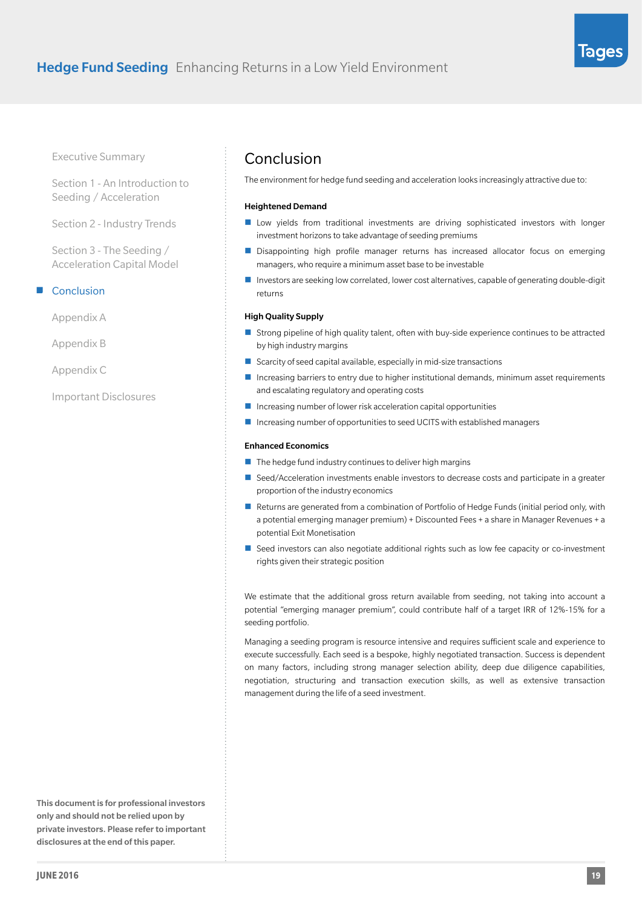

**JUNE 2016**

<span id="page-18-0"></span>[Executive Summary](#page-1-0)

[Section 1 - An Introduction to](#page-2-0)  [Seeding / Acceleration](#page-2-0)

[Section 2 - Industry Trends](#page-8-0)

[Section 3 - The Seeding /](#page-15-0)  [Acceleration Capital Model](#page-15-0)

#### Conclusion

[Appendix A](#page-19-0)

[Appendix B](#page-20-0)

[Appendix C](#page-21-0)

[Important Disclosures](#page-22-0)

## Conclusion

The environment for hedge fund seeding and acceleration looks increasingly attractive due to:

#### Heightened Demand

- **Low yields from traditional investments are driving sophisticated investors with longer** investment horizons to take advantage of seeding premiums
- **Disappointing high profile manager returns has increased allocator focus on emerging** managers, who require a minimum asset base to be investable
- $\blacksquare$  Investors are seeking low correlated, lower cost alternatives, capable of generating double-digit returns

#### High Quality Supply

- **Strong pipeline of high quality talent, often with buy-side experience continues to be attracted** by high industry margins
- $\blacksquare$  Scarcity of seed capital available, especially in mid-size transactions
- Increasing barriers to entry due to higher institutional demands, minimum asset requirements and escalating regulatory and operating costs
- $\blacksquare$  Increasing number of lower risk acceleration capital opportunities
- Increasing number of opportunities to seed UCITS with established managers

#### Enhanced Economics

- $\blacksquare$  The hedge fund industry continues to deliver high margins
- Seed/Acceleration investments enable investors to decrease costs and participate in a greater proportion of the industry economics
- Returns are generated from a combination of Portfolio of Hedge Funds (initial period only, with a potential emerging manager premium) + Discounted Fees + a share in Manager Revenues + a potential Exit Monetisation
- Seed investors can also negotiate additional rights such as low fee capacity or co-investment rights given their strategic position

We estimate that the additional gross return available from seeding, not taking into account a potential "emerging manager premium", could contribute half of a target IRR of 12%-15% for a seeding portfolio.

Managing a seeding program is resource intensive and requires sufficient scale and experience to execute successfully. Each seed is a bespoke, highly negotiated transaction. Success is dependent on many factors, including strong manager selection ability, deep due diligence capabilities, negotiation, structuring and transaction execution skills, as well as extensive transaction management during the life of a seed investment.

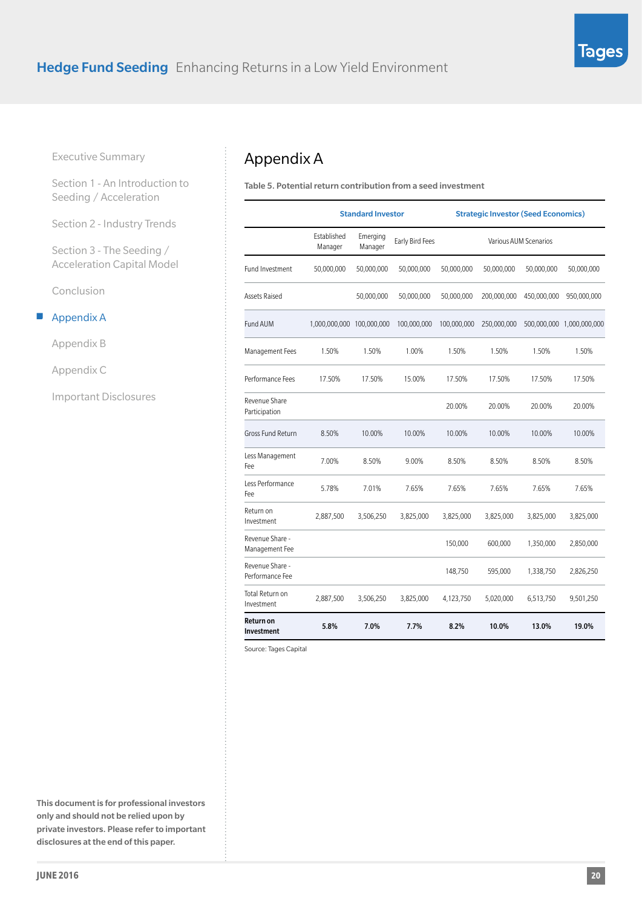<span id="page-19-0"></span>[Section 1 - An Introduction to](#page-2-0)  [Seeding / Acceleration](#page-2-0)

[Section 2 - Industry Trends](#page-8-0)

[Section 3 - The Seeding /](#page-15-0)  [Acceleration Capital Model](#page-15-0)

[Conclusion](#page-18-0)

#### $\mathcal{L}_{\mathcal{A}}$ Appendix A

[Appendix B](#page-20-0)

[Appendix C](#page-21-0)

[Important Disclosures](#page-22-0)

This document is for professional investors only and should not be relied upon by private investors. Please refer to important disclosures at the end of this paper.

# Appendix A

Table 5. Potential return contribution from a seed investment

|                                    |                           | <b>Standard Investor</b> |                 | <b>Strategic Investor (Seed Economics)</b> |             |                       |                           |
|------------------------------------|---------------------------|--------------------------|-----------------|--------------------------------------------|-------------|-----------------------|---------------------------|
|                                    | Established<br>Manager    | Emerging<br>Manager      | Early Bird Fees |                                            |             | Various AUM Scenarios |                           |
| Fund Investment                    | 50,000,000                | 50,000,000               | 50,000,000      | 50,000,000                                 | 50,000,000  | 50,000,000            | 50,000,000                |
| <b>Assets Raised</b>               |                           | 50,000,000               | 50,000,000      | 50,000,000                                 | 200,000,000 | 450,000,000           | 950,000,000               |
| Fund AUM                           | 1,000,000,000 100,000,000 |                          | 100,000,000     | 100,000,000                                | 250,000,000 |                       | 500,000,000 1,000,000,000 |
| Management Fees                    | 1.50%                     | 1.50%                    | 1.00%           | 1.50%                                      | 1.50%       | 1.50%                 | 1.50%                     |
| Performance Fees                   | 17.50%                    | 17.50%                   | 15.00%          | 17.50%                                     | 17.50%      | 17.50%                | 17.50%                    |
| Revenue Share<br>Participation     |                           |                          |                 | 20.00%                                     | 20.00%      | 20.00%                | 20.00%                    |
| Gross Fund Return                  | 8.50%                     | 10.00%                   | 10.00%          | 10.00%                                     | 10.00%      | 10.00%                | 10.00%                    |
| Less Management<br>Fee             | 7.00%                     | 8.50%                    | 9.00%           | 8.50%                                      | 8.50%       | 8.50%                 | 8.50%                     |
| Less Performance<br>Fee            | 5.78%                     | 7.01%                    | 7.65%           | 7.65%                                      | 7.65%       | 7.65%                 | 7.65%                     |
| Return on<br>Investment            | 2,887,500                 | 3,506,250                | 3,825,000       | 3,825,000                                  | 3,825,000   | 3,825,000             | 3,825,000                 |
| Revenue Share -<br>Management Fee  |                           |                          |                 | 150,000                                    | 600,000     | 1,350,000             | 2,850,000                 |
| Revenue Share -<br>Performance Fee |                           |                          |                 | 148,750                                    | 595,000     | 1,338,750             | 2,826,250                 |
| Total Return on<br>Investment      | 2,887,500                 | 3,506,250                | 3,825,000       | 4,123,750                                  | 5,020,000   | 6,513,750             | 9,501,250                 |
| Return on<br>Investment            | 5.8%                      | 7.0%                     | 7.7%            | 8.2%                                       | 10.0%       | 13.0%                 | 19.0%                     |

Source: Tages Capital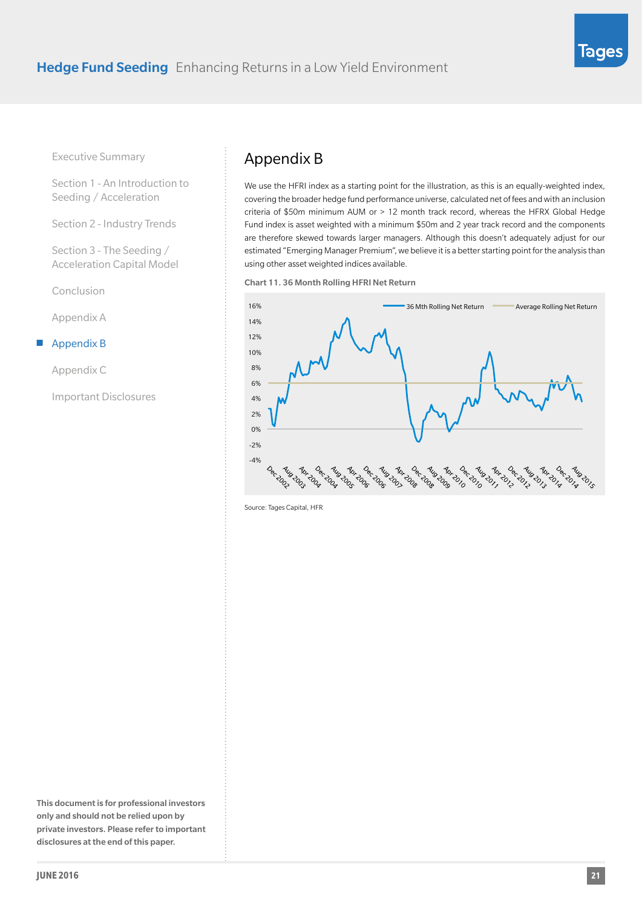<span id="page-20-0"></span>[Section 1 - An Introduction to](#page-2-0)  [Seeding / Acceleration](#page-2-0)

[Section 2 - Industry Trends](#page-8-0)

[Section 3 - The Seeding /](#page-15-0)  [Acceleration Capital Model](#page-15-0)

[Conclusion](#page-18-0)

[Appendix A](#page-19-0)

#### Appendix B

[Appendix C](#page-21-0)

[Important Disclosures](#page-22-0)

# Appendix B

We use the HFRI index as a starting point for the illustration, as this is an equally-weighted index, covering the broader hedge fund performance universe, calculated net of fees and with an inclusion criteria of \$50m minimum AUM or > 12 month track record, whereas the HFRX Global Hedge Fund index is asset weighted with a minimum \$50m and 2 year track record and the components are therefore skewed towards larger managers. Although this doesn't adequately adjust for our estimated "Emerging Manager Premium", we believe it is a better starting point for the analysis than using other asset weighted indices available.

Chart 11. 36 Month Rolling HFRI Net Return



Source: Tages Capital, HFR

This document is for professional investors only and should not be relied upon by private investors. Please refer to important disclosures at the end of this paper.

Tages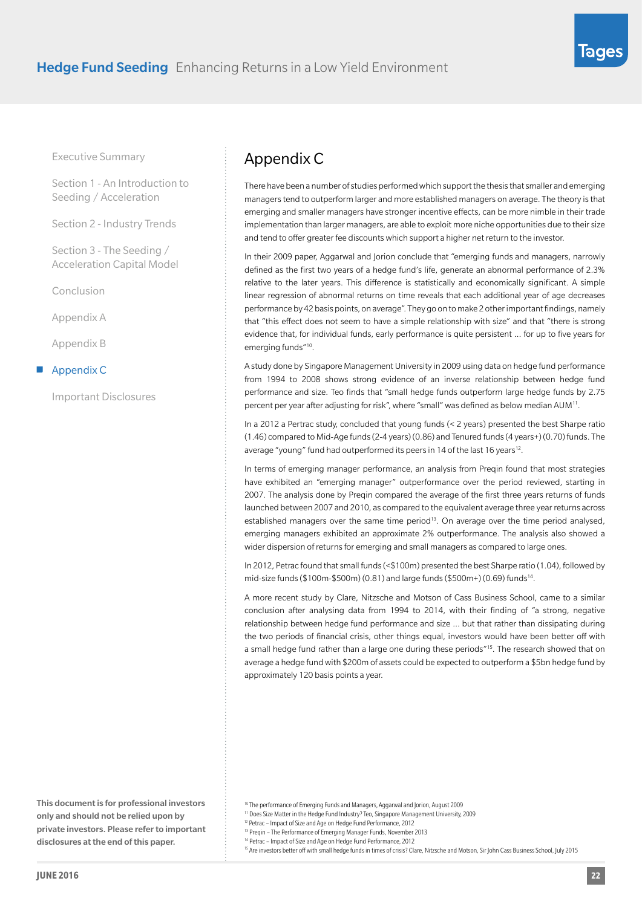<span id="page-21-0"></span>[Section 1 - An Introduction to](#page-2-0)  [Seeding / Acceleration](#page-2-0)

[Section 2 - Industry Trends](#page-8-0)

[Section 3 - The Seeding /](#page-15-0)  [Acceleration Capital Model](#page-15-0)

[Conclusion](#page-18-0)

[Appendix A](#page-19-0)

[Appendix B](#page-20-0)

#### Appendix C

[Important Disclosures](#page-22-0)

This document is for professional investors only and should not be relied upon by private investors. Please refer to important disclosures at the end of this paper.

# Appendix C

There have been a number of studies performed which support the thesis that smaller and emerging managers tend to outperform larger and more established managers on average. The theory is that emerging and smaller managers have stronger incentive effects, can be more nimble in their trade implementation than larger managers, are able to exploit more niche opportunities due to their size and tend to offer greater fee discounts which support a higher net return to the investor.

In their 2009 paper, Aggarwal and Jorion conclude that "emerging funds and managers, narrowly defined as the first two years of a hedge fund's life, generate an abnormal performance of 2.3% relative to the later years. This difference is statistically and economically significant. A simple linear regression of abnormal returns on time reveals that each additional year of age decreases performance by 42 basis points, on average". They go on to make 2 other important findings, namely that "this effect does not seem to have a simple relationship with size" and that "there is strong evidence that, for individual funds, early performance is quite persistent … for up to five years for emerging funds"10.

A study done by Singapore Management University in 2009 using data on hedge fund performance from 1994 to 2008 shows strong evidence of an inverse relationship between hedge fund performance and size. Teo finds that "small hedge funds outperform large hedge funds by 2.75 percent per year after adjusting for risk", where "small" was defined as below median AUM<sup>11</sup>.

In a 2012 a Pertrac study, concluded that young funds (< 2 years) presented the best Sharpe ratio (1.46) compared to Mid-Age funds (2-4 years) (0.86) and Tenured funds (4 years+) (0.70) funds. The average "young" fund had outperformed its peers in 14 of the last 16 years<sup>12</sup>.

In terms of emerging manager performance, an analysis from Preqin found that most strategies have exhibited an "emerging manager" outperformance over the period reviewed, starting in 2007. The analysis done by Preqin compared the average of the first three years returns of funds launched between 2007 and 2010, as compared to the equivalent average three year returns across established managers over the same time period<sup>13</sup>. On average over the time period analysed, emerging managers exhibited an approximate 2% outperformance. The analysis also showed a wider dispersion of returns for emerging and small managers as compared to large ones.

In 2012, Petrac found that small funds (<\$100m) presented the best Sharpe ratio (1.04), followed by mid-size funds ( $$100m-$500m$ ) (0.81) and large funds ( $$500m+$ ) (0.69) funds<sup>14</sup>.

A more recent study by Clare, Nitzsche and Motson of Cass Business School, came to a similar conclusion after analysing data from 1994 to 2014, with their finding of "a strong, negative relationship between hedge fund performance and size … but that rather than dissipating during the two periods of financial crisis, other things equal, investors would have been better off with a small hedge fund rather than a large one during these periods"<sup>15</sup>. The research showed that on average a hedge fund with \$200m of assets could be expected to outperform a \$5bn hedge fund by approximately 120 basis points a year.

<sup>15</sup> Are investors better off with small hedge funds in times of crisis? Clare, Nitzsche and Motson, Sir John Cass Business School, July 2015

<sup>10</sup> The performance of Emerging Funds and Managers, Aggarwal and Jorion, August 2009

<sup>&</sup>lt;sup>11</sup> Does Size Matter in the Hedge Fund Industry? Teo, Singapore Management University, 2009

<sup>12</sup> Petrac – Impact of Size and Age on Hedge Fund Performance, 2012

<sup>13</sup> Preqin – The Performance of Emerging Manager Funds, November 2013

<sup>14</sup> Petrac – Impact of Size and Age on Hedge Fund Performance, 2012